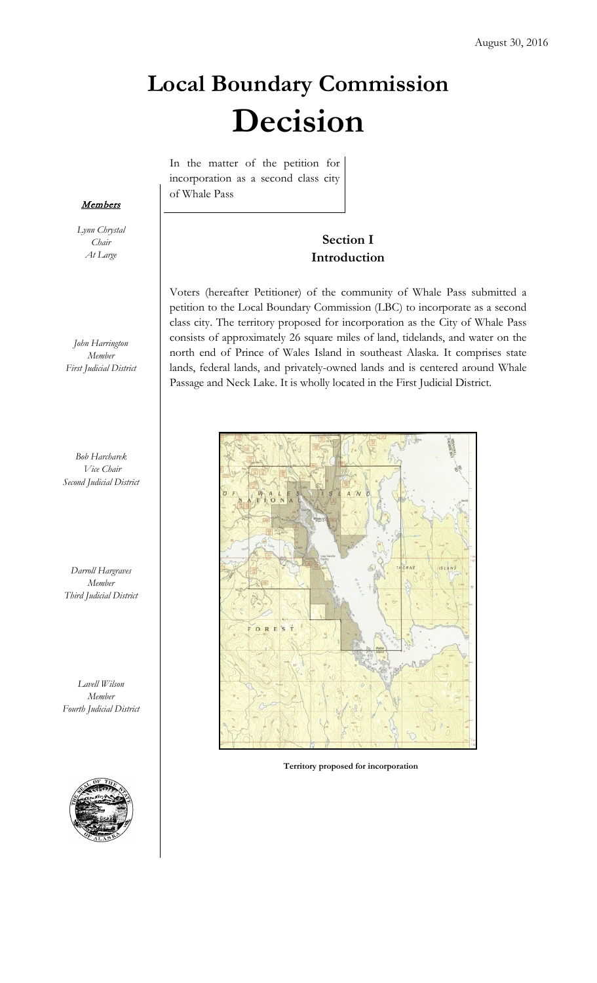# **Local Boundary Commission Decision**

In the matter of the petition for incorporation as a second class city of Whale Pass

# **Section I Introduction**

Voters (hereafter Petitioner) of the community of Whale Pass submitted a petition to the Local Boundary Commission (LBC) to incorporate as a second class city. The territory proposed for incorporation as the City of Whale Pass consists of approximately 26 square miles of land, tidelands, and water on the north end of Prince of Wales Island in southeast Alaska. It comprises state lands, federal lands, and privately-owned lands and is centered around Whale Passage and Neck Lake. It is wholly located in the First Judicial District.



**1 Territory proposed for incorporation**

#### **Members**

*Lynn Chrystal Chair At Large*

*John Harrington Member First Judicial District*

*Bob Harcharek Vice Chair Second Judicial District*

*Darroll Hargraves Member Third Judicial District*

*Lavell Wilson Member Fourth Judicial District*

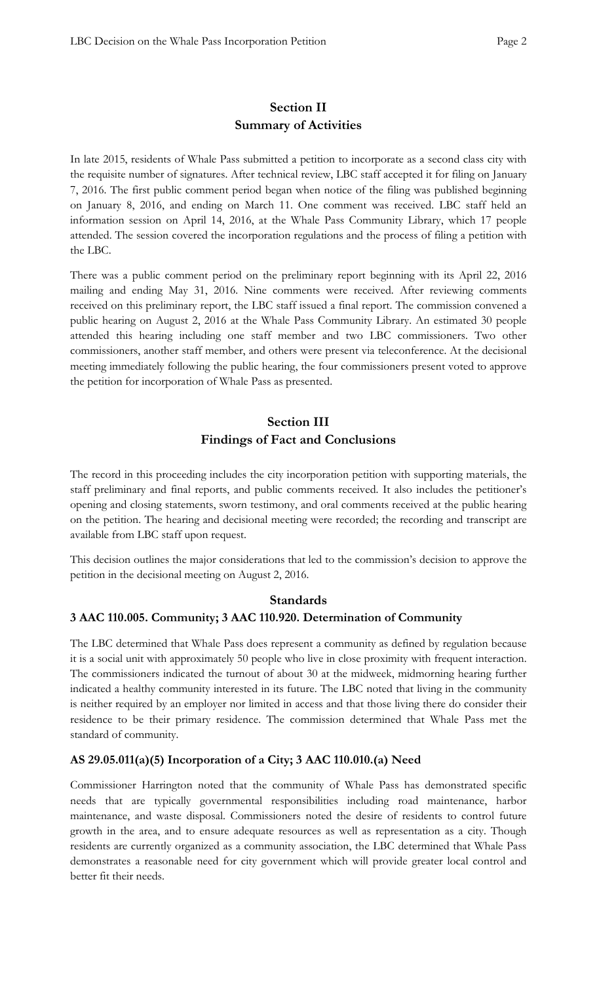# **Section II Summary of Activities**

In late 2015, residents of Whale Pass submitted a petition to incorporate as a second class city with the requisite number of signatures. After technical review, LBC staff accepted it for filing on January 7, 2016. The first public comment period began when notice of the filing was published beginning on January 8, 2016, and ending on March 11. One comment was received. LBC staff held an information session on April 14, 2016, at the Whale Pass Community Library, which 17 people attended. The session covered the incorporation regulations and the process of filing a petition with the LBC.

There was a public comment period on the preliminary report beginning with its April 22, 2016 mailing and ending May 31, 2016. Nine comments were received. After reviewing comments received on this preliminary report, the LBC staff issued a final report. The commission convened a public hearing on August 2, 2016 at the Whale Pass Community Library. An estimated 30 people attended this hearing including one staff member and two LBC commissioners. Two other commissioners, another staff member, and others were present via teleconference. At the decisional meeting immediately following the public hearing, the four commissioners present voted to approve the petition for incorporation of Whale Pass as presented.

# **Section III Findings of Fact and Conclusions**

The record in this proceeding includes the city incorporation petition with supporting materials, the staff preliminary and final reports, and public comments received. It also includes the petitioner's opening and closing statements, sworn testimony, and oral comments received at the public hearing on the petition. The hearing and decisional meeting were recorded; the recording and transcript are available from LBC staff upon request.

This decision outlines the major considerations that led to the commission's decision to approve the petition in the decisional meeting on August 2, 2016.

# **Standards 3 AAC 110.005. Community; 3 AAC 110.920. Determination of Community**

The LBC determined that Whale Pass does represent a community as defined by regulation because it is a social unit with approximately 50 people who live in close proximity with frequent interaction. The commissioners indicated the turnout of about 30 at the midweek, midmorning hearing further indicated a healthy community interested in its future. The LBC noted that living in the community is neither required by an employer nor limited in access and that those living there do consider their residence to be their primary residence. The commission determined that Whale Pass met the standard of community.

# **AS 29.05.011(a)(5) Incorporation of a City; 3 AAC 110.010.(a) Need**

Commissioner Harrington noted that the community of Whale Pass has demonstrated specific needs that are typically governmental responsibilities including road maintenance, harbor maintenance, and waste disposal. Commissioners noted the desire of residents to control future growth in the area, and to ensure adequate resources as well as representation as a city. Though residents are currently organized as a community association, the LBC determined that Whale Pass demonstrates a reasonable need for city government which will provide greater local control and better fit their needs.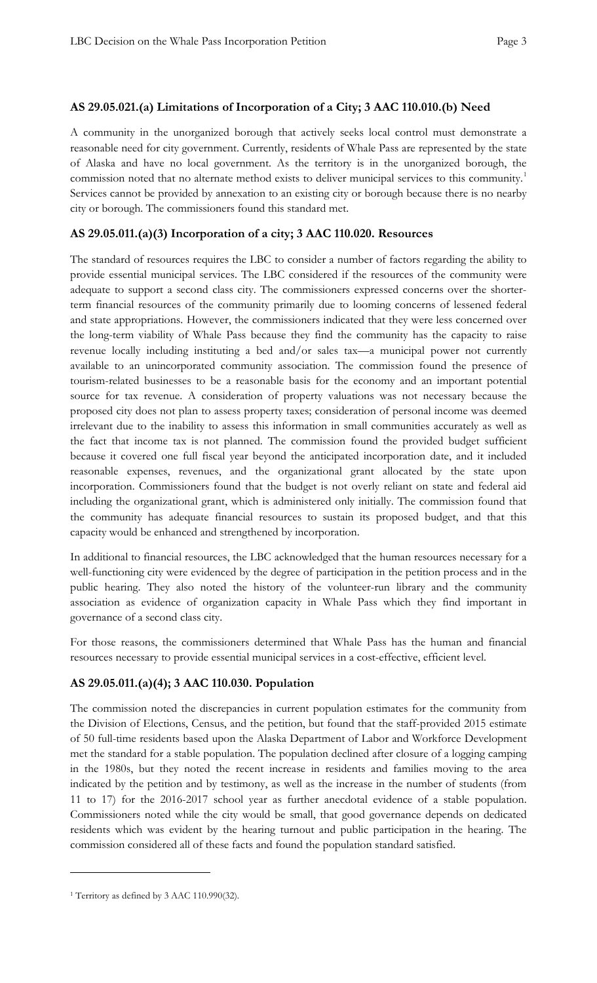## **AS 29.05.021.(a) Limitations of Incorporation of a City; 3 AAC 110.010.(b) Need**

A community in the unorganized borough that actively seeks local control must demonstrate a reasonable need for city government. Currently, residents of Whale Pass are represented by the state of Alaska and have no local government. As the territory is in the unorganized borough, the commission noted that no alternate method exists to deliver municipal services to this community.<sup>1</sup> Services cannot be provided by annexation to an existing city or borough because there is no nearby city or borough. The commissioners found this standard met.

# **AS 29.05.011.(a)(3) Incorporation of a city; 3 AAC 110.020. Resources**

The standard of resources requires the LBC to consider a number of factors regarding the ability to provide essential municipal services. The LBC considered if the resources of the community were adequate to support a second class city. The commissioners expressed concerns over the shorterterm financial resources of the community primarily due to looming concerns of lessened federal and state appropriations. However, the commissioners indicated that they were less concerned over the long-term viability of Whale Pass because they find the community has the capacity to raise revenue locally including instituting a bed and/or sales tax—a municipal power not currently available to an unincorporated community association. The commission found the presence of tourism-related businesses to be a reasonable basis for the economy and an important potential source for tax revenue. A consideration of property valuations was not necessary because the proposed city does not plan to assess property taxes; consideration of personal income was deemed irrelevant due to the inability to assess this information in small communities accurately as well as the fact that income tax is not planned. The commission found the provided budget sufficient because it covered one full fiscal year beyond the anticipated incorporation date, and it included reasonable expenses, revenues, and the organizational grant allocated by the state upon incorporation. Commissioners found that the budget is not overly reliant on state and federal aid including the organizational grant, which is administered only initially. The commission found that the community has adequate financial resources to sustain its proposed budget, and that this capacity would be enhanced and strengthened by incorporation.

In additional to financial resources, the LBC acknowledged that the human resources necessary for a well-functioning city were evidenced by the degree of participation in the petition process and in the public hearing. They also noted the history of the volunteer-run library and the community association as evidence of organization capacity in Whale Pass which they find important in governance of a second class city.

For those reasons, the commissioners determined that Whale Pass has the human and financial resources necessary to provide essential municipal services in a cost-effective, efficient level.

# **AS 29.05.011.(a)(4); 3 AAC 110.030. Population**

The commission noted the discrepancies in current population estimates for the community from the Division of Elections, Census, and the petition, but found that the staff-provided 2015 estimate of 50 full-time residents based upon the Alaska Department of Labor and Workforce Development met the standard for a stable population. The population declined after closure of a logging camping in the 1980s, but they noted the recent increase in residents and families moving to the area indicated by the petition and by testimony, as well as the increase in the number of students (from 11 to 17) for the 2016-2017 school year as further anecdotal evidence of a stable population. Commissioners noted while the city would be small, that good governance depends on dedicated residents which was evident by the hearing turnout and public participation in the hearing. The commission considered all of these facts and found the population standard satisfied.

 $\overline{a}$ 

<sup>1</sup> Territory as defined by 3 AAC 110.990(32).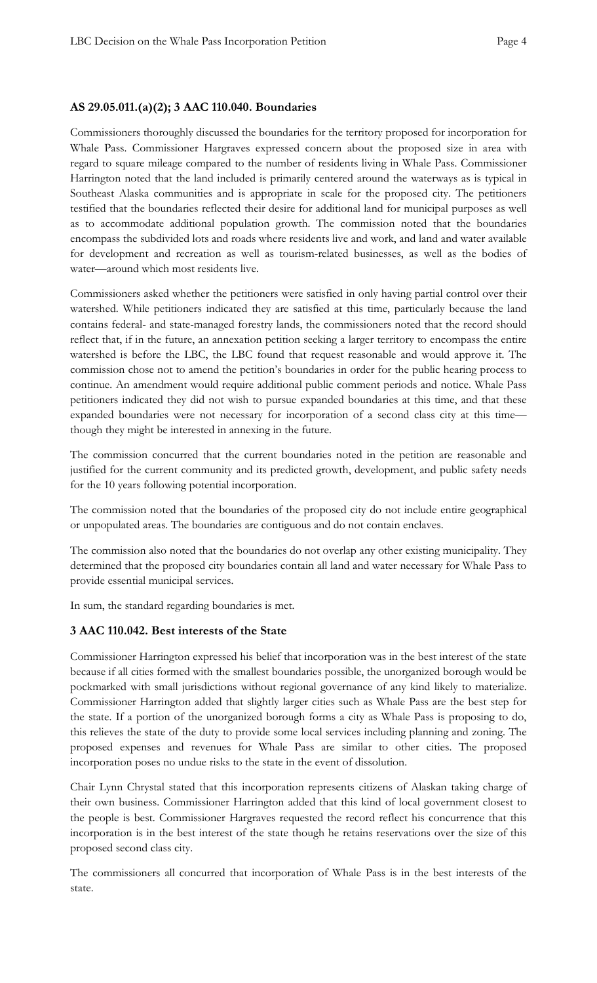#### **AS 29.05.011.(a)(2); 3 AAC 110.040. Boundaries**

Commissioners thoroughly discussed the boundaries for the territory proposed for incorporation for Whale Pass. Commissioner Hargraves expressed concern about the proposed size in area with regard to square mileage compared to the number of residents living in Whale Pass. Commissioner Harrington noted that the land included is primarily centered around the waterways as is typical in Southeast Alaska communities and is appropriate in scale for the proposed city. The petitioners testified that the boundaries reflected their desire for additional land for municipal purposes as well as to accommodate additional population growth. The commission noted that the boundaries encompass the subdivided lots and roads where residents live and work, and land and water available for development and recreation as well as tourism-related businesses, as well as the bodies of water—around which most residents live.

Commissioners asked whether the petitioners were satisfied in only having partial control over their watershed. While petitioners indicated they are satisfied at this time, particularly because the land contains federal- and state-managed forestry lands, the commissioners noted that the record should reflect that, if in the future, an annexation petition seeking a larger territory to encompass the entire watershed is before the LBC, the LBC found that request reasonable and would approve it. The commission chose not to amend the petition's boundaries in order for the public hearing process to continue. An amendment would require additional public comment periods and notice. Whale Pass petitioners indicated they did not wish to pursue expanded boundaries at this time, and that these expanded boundaries were not necessary for incorporation of a second class city at this time though they might be interested in annexing in the future.

The commission concurred that the current boundaries noted in the petition are reasonable and justified for the current community and its predicted growth, development, and public safety needs for the 10 years following potential incorporation.

The commission noted that the boundaries of the proposed city do not include entire geographical or unpopulated areas. The boundaries are contiguous and do not contain enclaves.

The commission also noted that the boundaries do not overlap any other existing municipality. They determined that the proposed city boundaries contain all land and water necessary for Whale Pass to provide essential municipal services.

In sum, the standard regarding boundaries is met.

#### **3 AAC 110.042. Best interests of the State**

Commissioner Harrington expressed his belief that incorporation was in the best interest of the state because if all cities formed with the smallest boundaries possible, the unorganized borough would be pockmarked with small jurisdictions without regional governance of any kind likely to materialize. Commissioner Harrington added that slightly larger cities such as Whale Pass are the best step for the state. If a portion of the unorganized borough forms a city as Whale Pass is proposing to do, this relieves the state of the duty to provide some local services including planning and zoning. The proposed expenses and revenues for Whale Pass are similar to other cities. The proposed incorporation poses no undue risks to the state in the event of dissolution.

Chair Lynn Chrystal stated that this incorporation represents citizens of Alaskan taking charge of their own business. Commissioner Harrington added that this kind of local government closest to the people is best. Commissioner Hargraves requested the record reflect his concurrence that this incorporation is in the best interest of the state though he retains reservations over the size of this proposed second class city.

The commissioners all concurred that incorporation of Whale Pass is in the best interests of the state.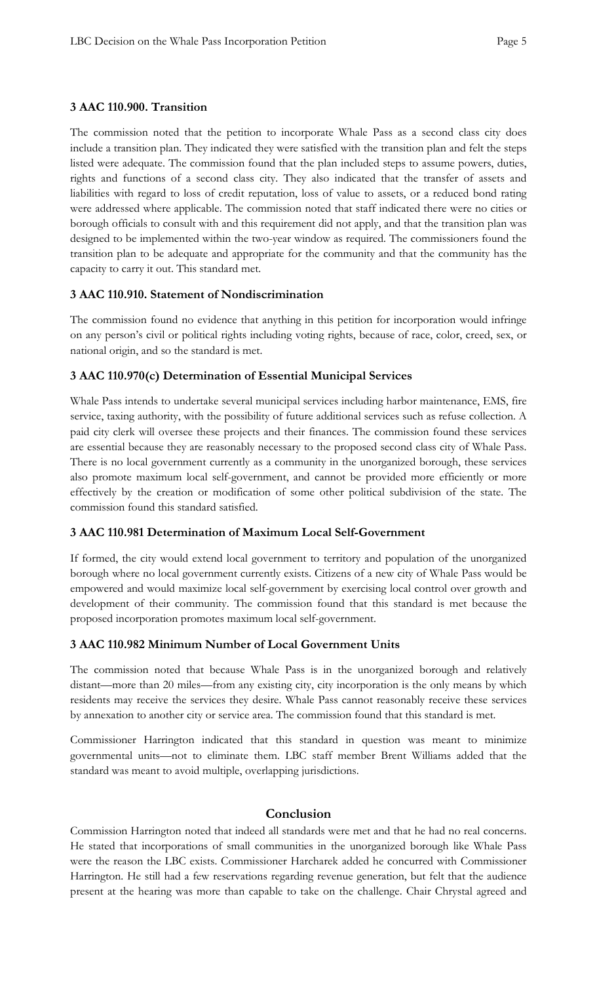## **3 AAC 110.900. Transition**

The commission noted that the petition to incorporate Whale Pass as a second class city does include a transition plan. They indicated they were satisfied with the transition plan and felt the steps listed were adequate. The commission found that the plan included steps to assume powers, duties, rights and functions of a second class city. They also indicated that the transfer of assets and liabilities with regard to loss of credit reputation, loss of value to assets, or a reduced bond rating were addressed where applicable. The commission noted that staff indicated there were no cities or borough officials to consult with and this requirement did not apply, and that the transition plan was designed to be implemented within the two-year window as required. The commissioners found the transition plan to be adequate and appropriate for the community and that the community has the capacity to carry it out. This standard met.

## **3 AAC 110.910. Statement of Nondiscrimination**

The commission found no evidence that anything in this petition for incorporation would infringe on any person's civil or political rights including voting rights, because of race, color, creed, sex, or national origin, and so the standard is met.

# **3 AAC 110.970(c) Determination of Essential Municipal Services**

Whale Pass intends to undertake several municipal services including harbor maintenance, EMS, fire service, taxing authority, with the possibility of future additional services such as refuse collection. A paid city clerk will oversee these projects and their finances. The commission found these services are essential because they are reasonably necessary to the proposed second class city of Whale Pass. There is no local government currently as a community in the unorganized borough, these services also promote maximum local self-government, and cannot be provided more efficiently or more effectively by the creation or modification of some other political subdivision of the state. The commission found this standard satisfied.

# **3 AAC 110.981 Determination of Maximum Local Self-Government**

If formed, the city would extend local government to territory and population of the unorganized borough where no local government currently exists. Citizens of a new city of Whale Pass would be empowered and would maximize local self-government by exercising local control over growth and development of their community. The commission found that this standard is met because the proposed incorporation promotes maximum local self-government.

# **3 AAC 110.982 Minimum Number of Local Government Units**

The commission noted that because Whale Pass is in the unorganized borough and relatively distant—more than 20 miles—from any existing city, city incorporation is the only means by which residents may receive the services they desire. Whale Pass cannot reasonably receive these services by annexation to another city or service area. The commission found that this standard is met.

Commissioner Harrington indicated that this standard in question was meant to minimize governmental units—not to eliminate them. LBC staff member Brent Williams added that the standard was meant to avoid multiple, overlapping jurisdictions.

# **Conclusion**

Commission Harrington noted that indeed all standards were met and that he had no real concerns. He stated that incorporations of small communities in the unorganized borough like Whale Pass were the reason the LBC exists. Commissioner Harcharek added he concurred with Commissioner Harrington. He still had a few reservations regarding revenue generation, but felt that the audience present at the hearing was more than capable to take on the challenge. Chair Chrystal agreed and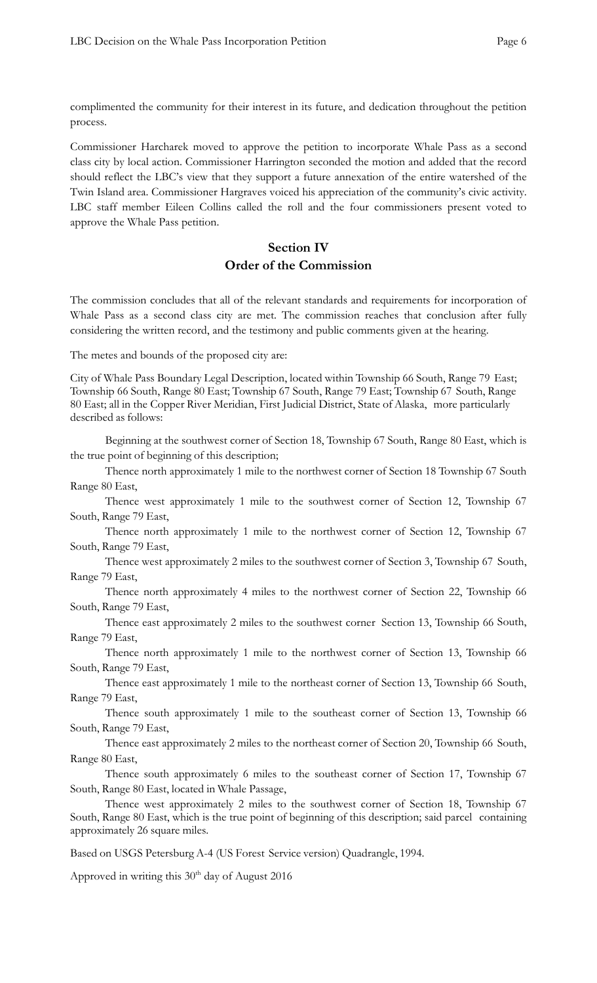complimented the community for their interest in its future, and dedication throughout the petition process.

Commissioner Harcharek moved to approve the petition to incorporate Whale Pass as a second class city by local action. Commissioner Harrington seconded the motion and added that the record should reflect the LBC's view that they support a future annexation of the entire watershed of the Twin Island area. Commissioner Hargraves voiced his appreciation of the community's civic activity. LBC staff member Eileen Collins called the roll and the four commissioners present voted to approve the Whale Pass petition.

# **Section IV Order of the Commission**

The commission concludes that all of the relevant standards and requirements for incorporation of Whale Pass as a second class city are met. The commission reaches that conclusion after fully considering the written record, and the testimony and public comments given at the hearing.

The metes and bounds of the proposed city are:

City of Whale Pass Boundary Legal Description, located within Township 66 South, Range 79 East; Township 66 South, Range 80 East; Township 67 South, Range 79 East; Township 67 South, Range 80 East; all in the Copper River Meridian, First Judicial District, State of Alaska, more particularly described as follows:

Beginning at the southwest corner of Section 18, Township 67 South, Range 80 East, which is the true point of beginning of this description;

Thence north approximately 1 mile to the northwest corner of Section 18 Township 67 South Range 80 East,

Thence west approximately 1 mile to the southwest corner of Section 12, Township 67 South, Range 79 East,

Thence north approximately 1 mile to the northwest corner of Section 12, Township 67 South, Range 79 East,

Thence west approximately 2 miles to the southwest corner of Section 3, Township 67 South, Range 79 East,

Thence north approximately 4 miles to the northwest corner of Section 22, Township 66 South, Range 79 East,

Thence east approximately 2 miles to the southwest corner Section 13, Township 66 South, Range 79 East,

Thence north approximately 1 mile to the northwest corner of Section 13, Township 66 South, Range 79 East,

Thence east approximately 1 mile to the northeast corner of Section 13, Township 66 South, Range 79 East,

Thence south approximately 1 mile to the southeast corner of Section 13, Township 66 South, Range 79 East,

Thence east approximately 2 miles to the northeast corner of Section 20, Township 66 South, Range 80 East,

Thence south approximately 6 miles to the southeast corner of Section 17, Township 67 South, Range 80 East, located in Whale Passage,

Thence west approximately 2 miles to the southwest corner of Section 18, Township 67 South, Range 80 East, which is the true point of beginning of this description; said parcel containing approximately 26 square miles.

Based on USGS Petersburg A-4 (US Forest Service version) Quadrangle, 1994.

Approved in writing this  $30<sup>th</sup>$  day of August 2016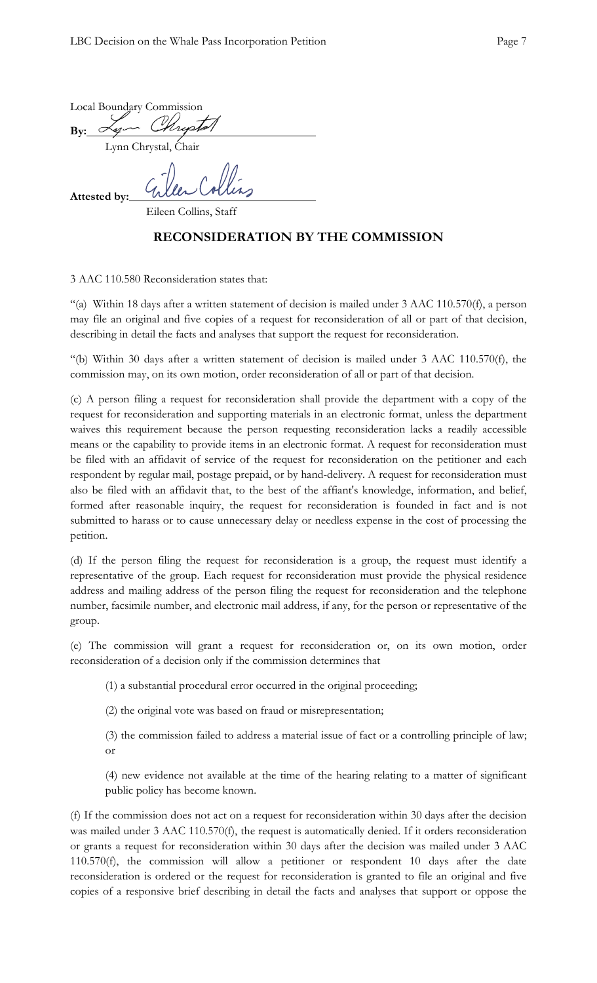|                      |  | Local Boundary Commission |  |  |
|----------------------|--|---------------------------|--|--|
| Bv:                  |  | you Mustal                |  |  |
| Lynn Chrystal, Chair |  |                           |  |  |
|                      |  |                           |  |  |

**Attested by:**

Eileen Collins, Staff

# **RECONSIDERATION BY THE COMMISSION**

3 AAC 110.580 Reconsideration states that:

"(a) Within 18 days after a written statement of decision is mailed under 3 AAC 110.570(f), a person may file an original and five copies of a request for reconsideration of all or part of that decision, describing in detail the facts and analyses that support the request for reconsideration.

"(b) Within 30 days after a written statement of decision is mailed under 3 AAC 110.570(f), the commission may, on its own motion, order reconsideration of all or part of that decision.

(c) A person filing a request for reconsideration shall provide the department with a copy of the request for reconsideration and supporting materials in an electronic format, unless the department waives this requirement because the person requesting reconsideration lacks a readily accessible means or the capability to provide items in an electronic format. A request for reconsideration must be filed with an affidavit of service of the request for reconsideration on the petitioner and each respondent by regular mail, postage prepaid, or by hand-delivery. A request for reconsideration must also be filed with an affidavit that, to the best of the affiant's knowledge, information, and belief, formed after reasonable inquiry, the request for reconsideration is founded in fact and is not submitted to harass or to cause unnecessary delay or needless expense in the cost of processing the petition.

(d) If the person filing the request for reconsideration is a group, the request must identify a representative of the group. Each request for reconsideration must provide the physical residence address and mailing address of the person filing the request for reconsideration and the telephone number, facsimile number, and electronic mail address, if any, for the person or representative of the group.

(e) The commission will grant a request for reconsideration or, on its own motion, order reconsideration of a decision only if the commission determines that

- (1) a substantial procedural error occurred in the original proceeding;
- (2) the original vote was based on fraud or misrepresentation;

(3) the commission failed to address a material issue of fact or a controlling principle of law; or

(4) new evidence not available at the time of the hearing relating to a matter of significant public policy has become known.

(f) If the commission does not act on a request for reconsideration within 30 days after the decision was mailed under 3 AAC 110.570(f), the request is automatically denied. If it orders reconsideration or grants a request for reconsideration within 30 days after the decision was mailed under 3 AAC 110.570(f), the commission will allow a petitioner or respondent 10 days after the date reconsideration is ordered or the request for reconsideration is granted to file an original and five copies of a responsive brief describing in detail the facts and analyses that support or oppose the